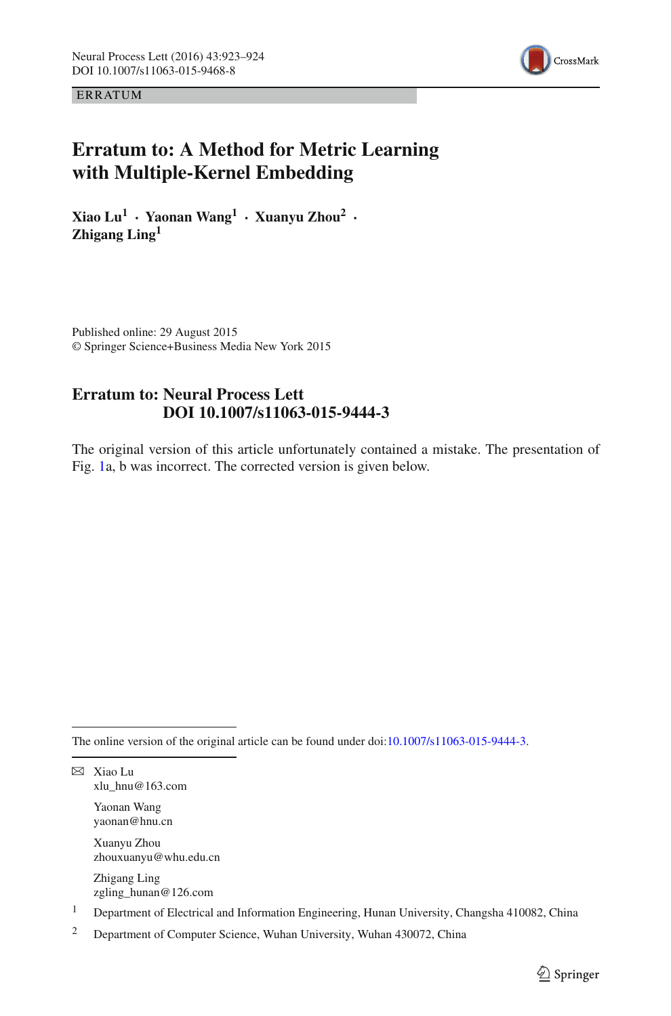

**ERRATUM** 

## **Erratum to: A Method for Metric Learning with Multiple-Kernel Embedding**

**Xiao Lu<sup>1</sup> · Yaonan Wang<sup>1</sup> · Xuanyu Zhou<sup>2</sup> · Zhigang Ling<sup>1</sup>**

Published online: 29 August 2015 © Springer Science+Business Media New York 2015

## **Erratum to: Neural Process Lett DOI 10.1007/s11063-015-9444-3**

The original version of this article unfortunately contained a mistake. The presentation of Fig. [1a](#page-1-0), b was incorrect. The corrected version is given below.

The online version of the original article can be found under doi[:10.1007/s11063-015-9444-3.](http://dx.doi.org/10.1007/s11063-015-9444-3)

B Xiao Lu xlu\_hnu@163.com

> Yaonan Wang yaonan@hnu.cn

Xuanyu Zhou zhouxuanyu@whu.edu.cn

Zhigang Ling zgling\_hunan@126.com

<sup>&</sup>lt;sup>1</sup> Department of Electrical and Information Engineering, Hunan University, Changsha 410082, China

<sup>2</sup> Department of Computer Science, Wuhan University, Wuhan 430072, China